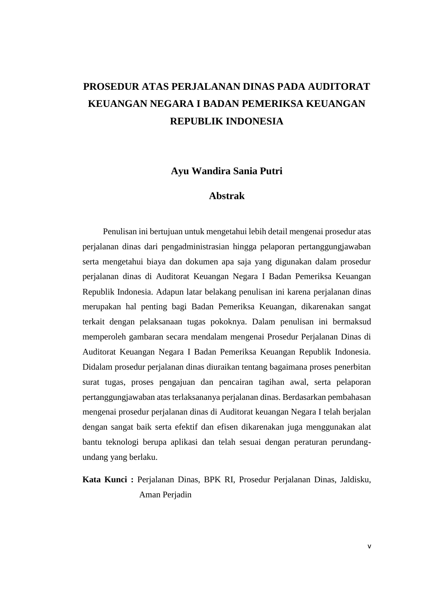# **PROSEDUR ATAS PERJALANAN DINAS PADA AUDITORAT KEUANGAN NEGARA I BADAN PEMERIKSA KEUANGAN REPUBLIK INDONESIA**

**Ayu Wandira Sania Putri**

### **Abstrak**

Penulisan ini bertujuan untuk mengetahui lebih detail mengenai prosedur atas perjalanan dinas dari pengadministrasian hingga pelaporan pertanggungjawaban serta mengetahui biaya dan dokumen apa saja yang digunakan dalam prosedur perjalanan dinas di Auditorat Keuangan Negara I Badan Pemeriksa Keuangan Republik Indonesia. Adapun latar belakang penulisan ini karena perjalanan dinas merupakan hal penting bagi Badan Pemeriksa Keuangan, dikarenakan sangat terkait dengan pelaksanaan tugas pokoknya. Dalam penulisan ini bermaksud memperoleh gambaran secara mendalam mengenai Prosedur Perjalanan Dinas di Auditorat Keuangan Negara I Badan Pemeriksa Keuangan Republik Indonesia. Didalam prosedur perjalanan dinas diuraikan tentang bagaimana proses penerbitan surat tugas, proses pengajuan dan pencairan tagihan awal, serta pelaporan pertanggungjawaban atas terlaksananya perjalanan dinas. Berdasarkan pembahasan mengenai prosedur perjalanan dinas di Auditorat keuangan Negara I telah berjalan dengan sangat baik serta efektif dan efisen dikarenakan juga menggunakan alat bantu teknologi berupa aplikasi dan telah sesuai dengan peraturan perundangundang yang berlaku.

**Kata Kunci :** Perjalanan Dinas, BPK RI, Prosedur Perjalanan Dinas, Jaldisku, Aman Perjadin